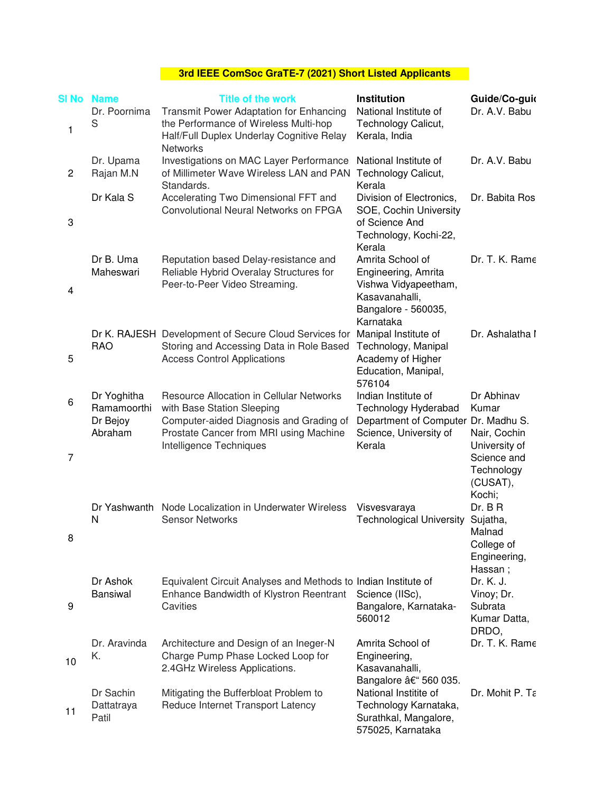## **3rd IEEE ComSoc GraTE-7 (2021) Short Listed Applicants**

| SI No        | <b>Name</b>                                       | <b>Title of the work</b>                                                                                                                                                               | Institution                                                                                                           | Guide/Co-guid                                                                                                           |
|--------------|---------------------------------------------------|----------------------------------------------------------------------------------------------------------------------------------------------------------------------------------------|-----------------------------------------------------------------------------------------------------------------------|-------------------------------------------------------------------------------------------------------------------------|
| 1            | Dr. Poornima<br>S                                 | Transmit Power Adaptation for Enhancing<br>the Performance of Wireless Multi-hop<br>Half/Full Duplex Underlay Cognitive Relay<br><b>Networks</b>                                       | National Institute of<br>Technology Calicut,<br>Kerala, India                                                         | Dr. A.V. Babu                                                                                                           |
| $\mathbf{2}$ | Dr. Upama<br>Rajan M.N                            | Investigations on MAC Layer Performance<br>of Millimeter Wave Wireless LAN and PAN<br>Standards.                                                                                       | National Institute of<br>Technology Calicut,<br>Kerala                                                                | Dr. A.V. Babu                                                                                                           |
| 3            | Dr Kala S                                         | Accelerating Two Dimensional FFT and<br>Convolutional Neural Networks on FPGA                                                                                                          | Division of Electronics,<br>SOE, Cochin University<br>of Science And<br>Technology, Kochi-22,<br>Kerala               | Dr. Babita Ros                                                                                                          |
| 4            | Dr B. Uma<br>Maheswari                            | Reputation based Delay-resistance and<br>Reliable Hybrid Overalay Structures for<br>Peer-to-Peer Video Streaming.                                                                      | Amrita School of<br>Engineering, Amrita<br>Vishwa Vidyapeetham,<br>Kasavanahalli,<br>Bangalore - 560035,<br>Karnataka | Dr. T. K. Rame                                                                                                          |
| 5            | <b>RAO</b>                                        | Dr K. RAJESH Development of Secure Cloud Services for<br>Storing and Accessing Data in Role Based<br><b>Access Control Applications</b>                                                | Manipal Institute of<br>Technology, Manipal<br>Academy of Higher<br>Education, Manipal,<br>576104                     | Dr. Ashalatha I                                                                                                         |
| 6<br>7       | Dr Yoghitha<br>Ramamoorthi<br>Dr Bejoy<br>Abraham | Resource Allocation in Cellular Networks<br>with Base Station Sleeping<br>Computer-aided Diagnosis and Grading of<br>Prostate Cancer from MRI using Machine<br>Intelligence Techniques | Indian Institute of<br>Technology Hyderabad<br>Department of Computer<br>Science, University of<br>Kerala             | Dr Abhinav<br>Kumar<br>Dr. Madhu S.<br>Nair, Cochin<br>University of<br>Science and<br>Technology<br>(CUSAT),<br>Kochi; |
| 8            | Dr Yashwanth<br>$\mathsf{N}$                      | Node Localization in Underwater Wireless<br><b>Sensor Networks</b>                                                                                                                     | Visvesvaraya<br><b>Technological University</b>                                                                       | Dr. B R<br>Sujatha,<br>Malnad<br>College of<br>Engineering,<br>Hassan;                                                  |
| 9            | Dr Ashok<br><b>Bansiwal</b>                       | Equivalent Circuit Analyses and Methods to Indian Institute of<br>Enhance Bandwidth of Klystron Reentrant<br>Cavities                                                                  | Science (IISc),<br>Bangalore, Karnataka-<br>560012                                                                    | Dr. K. J.<br>Vinoy; Dr.<br>Subrata<br>Kumar Datta,<br>DRDO,                                                             |
| 10           | Dr. Aravinda<br>Κ.                                | Architecture and Design of an Ineger-N<br>Charge Pump Phase Locked Loop for<br>2.4GHz Wireless Applications.                                                                           | Amrita School of<br>Engineering,<br>Kasavanahalli,<br>Bangalore – 560 035.                                            | Dr. T. K. Rame                                                                                                          |
| 11           | Dr Sachin<br>Dattatraya<br>Patil                  | Mitigating the Bufferbloat Problem to<br>Reduce Internet Transport Latency                                                                                                             | National Institite of<br>Technology Karnataka,<br>Surathkal, Mangalore,<br>575025, Karnataka                          | Dr. Mohit P. Ta                                                                                                         |